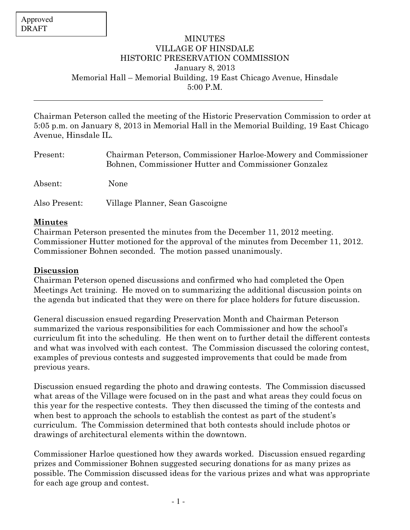$\overline{a}$ 

## **MINUTES** VILLAGE OF HINSDALE HISTORIC PRESERVATION COMMISSION January 8, 2013 Memorial Hall – Memorial Building, 19 East Chicago Avenue, Hinsdale 5:00 P.M.

Chairman Peterson called the meeting of the Historic Preservation Commission to order at 5:05 p.m. on January 8, 2013 in Memorial Hall in the Memorial Building, 19 East Chicago Avenue, Hinsdale IL.

| Present:      | Chairman Peterson, Commissioner Harloe-Mowery and Commissioner<br>Bohnen, Commissioner Hutter and Commissioner Gonzalez |
|---------------|-------------------------------------------------------------------------------------------------------------------------|
| Absent:       | None                                                                                                                    |
| Also Present: | Village Planner, Sean Gascoigne                                                                                         |

## Minutes

Chairman Peterson presented the minutes from the December 11, 2012 meeting. Commissioner Hutter motioned for the approval of the minutes from December 11, 2012. Commissioner Bohnen seconded. The motion passed unanimously.

## Discussion

Chairman Peterson opened discussions and confirmed who had completed the Open Meetings Act training. He moved on to summarizing the additional discussion points on the agenda but indicated that they were on there for place holders for future discussion.

General discussion ensued regarding Preservation Month and Chairman Peterson summarized the various responsibilities for each Commissioner and how the school's curriculum fit into the scheduling. He then went on to further detail the different contests and what was involved with each contest. The Commission discussed the coloring contest, examples of previous contests and suggested improvements that could be made from previous years.

Discussion ensued regarding the photo and drawing contests. The Commission discussed what areas of the Village were focused on in the past and what areas they could focus on this year for the respective contests. They then discussed the timing of the contests and when best to approach the schools to establish the contest as part of the student's curriculum. The Commission determined that both contests should include photos or drawings of architectural elements within the downtown.

Commissioner Harloe questioned how they awards worked. Discussion ensued regarding prizes and Commissioner Bohnen suggested securing donations for as many prizes as possible. The Commission discussed ideas for the various prizes and what was appropriate for each age group and contest.